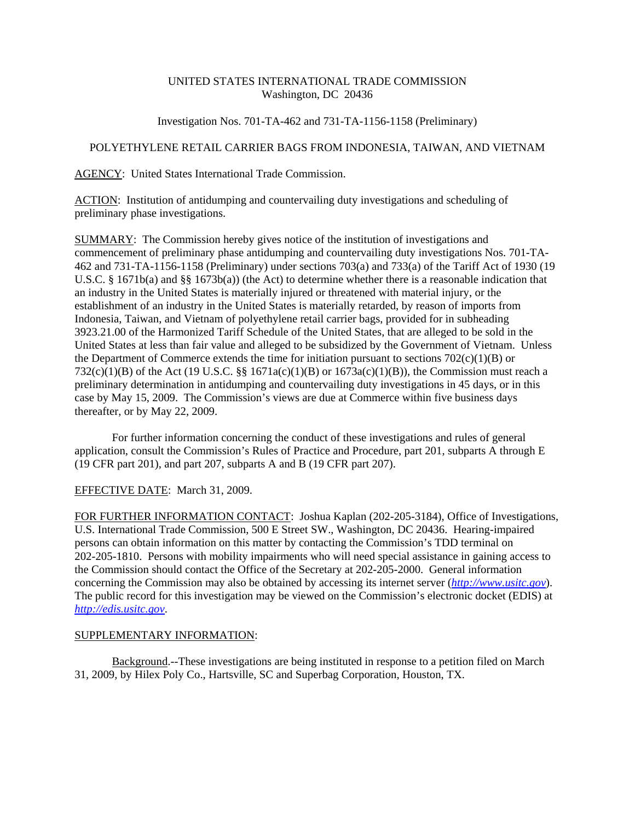## UNITED STATES INTERNATIONAL TRADE COMMISSION Washington, DC 20436

## Investigation Nos. 701-TA-462 and 731-TA-1156-1158 (Preliminary)

## POLYETHYLENE RETAIL CARRIER BAGS FROM INDONESIA, TAIWAN, AND VIETNAM

AGENCY: United States International Trade Commission.

ACTION: Institution of antidumping and countervailing duty investigations and scheduling of preliminary phase investigations.

SUMMARY: The Commission hereby gives notice of the institution of investigations and commencement of preliminary phase antidumping and countervailing duty investigations Nos. 701-TA-462 and 731-TA-1156-1158 (Preliminary) under sections 703(a) and 733(a) of the Tariff Act of 1930 (19 U.S.C. § 1671b(a) and §§ 1673b(a)) (the Act) to determine whether there is a reasonable indication that an industry in the United States is materially injured or threatened with material injury, or the establishment of an industry in the United States is materially retarded, by reason of imports from Indonesia, Taiwan, and Vietnam of polyethylene retail carrier bags, provided for in subheading 3923.21.00 of the Harmonized Tariff Schedule of the United States, that are alleged to be sold in the United States at less than fair value and alleged to be subsidized by the Government of Vietnam. Unless the Department of Commerce extends the time for initiation pursuant to sections  $702(c)(1)(B)$  or 732(c)(1)(B) of the Act (19 U.S.C. §§ 1671a(c)(1)(B) or  $1673a(c)(1)(B)$ ), the Commission must reach a preliminary determination in antidumping and countervailing duty investigations in 45 days, or in this case by May 15, 2009. The Commission's views are due at Commerce within five business days thereafter, or by May 22, 2009.

For further information concerning the conduct of these investigations and rules of general application, consult the Commission's Rules of Practice and Procedure, part 201, subparts A through E (19 CFR part 201), and part 207, subparts A and B (19 CFR part 207).

EFFECTIVE DATE: March 31, 2009.

FOR FURTHER INFORMATION CONTACT: Joshua Kaplan (202-205-3184), Office of Investigations, U.S. International Trade Commission, 500 E Street SW., Washington, DC 20436. Hearing-impaired persons can obtain information on this matter by contacting the Commission's TDD terminal on 202-205-1810. Persons with mobility impairments who will need special assistance in gaining access to the Commission should contact the Office of the Secretary at 202-205-2000. General information concerning the Commission may also be obtained by accessing its internet server (*http://www.usitc.gov*). The public record for this investigation may be viewed on the Commission's electronic docket (EDIS) at *http://edis.usitc.gov*.

## SUPPLEMENTARY INFORMATION:

Background.--These investigations are being instituted in response to a petition filed on March 31, 2009, by Hilex Poly Co., Hartsville, SC and Superbag Corporation, Houston, TX.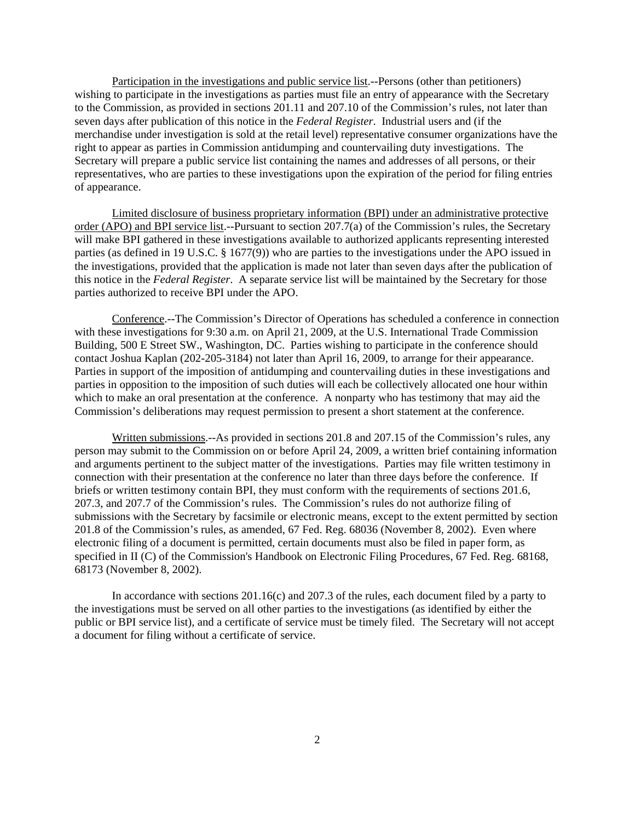Participation in the investigations and public service list.--Persons (other than petitioners) wishing to participate in the investigations as parties must file an entry of appearance with the Secretary to the Commission, as provided in sections 201.11 and 207.10 of the Commission's rules, not later than seven days after publication of this notice in the *Federal Register*. Industrial users and (if the merchandise under investigation is sold at the retail level) representative consumer organizations have the right to appear as parties in Commission antidumping and countervailing duty investigations. The Secretary will prepare a public service list containing the names and addresses of all persons, or their representatives, who are parties to these investigations upon the expiration of the period for filing entries of appearance.

Limited disclosure of business proprietary information (BPI) under an administrative protective order (APO) and BPI service list.--Pursuant to section 207.7(a) of the Commission's rules, the Secretary will make BPI gathered in these investigations available to authorized applicants representing interested parties (as defined in 19 U.S.C. § 1677(9)) who are parties to the investigations under the APO issued in the investigations, provided that the application is made not later than seven days after the publication of this notice in the *Federal Register*. A separate service list will be maintained by the Secretary for those parties authorized to receive BPI under the APO.

Conference.--The Commission's Director of Operations has scheduled a conference in connection with these investigations for 9:30 a.m. on April 21, 2009, at the U.S. International Trade Commission Building, 500 E Street SW., Washington, DC. Parties wishing to participate in the conference should contact Joshua Kaplan (202-205-3184) not later than April 16, 2009, to arrange for their appearance. Parties in support of the imposition of antidumping and countervailing duties in these investigations and parties in opposition to the imposition of such duties will each be collectively allocated one hour within which to make an oral presentation at the conference. A nonparty who has testimony that may aid the Commission's deliberations may request permission to present a short statement at the conference.

Written submissions.--As provided in sections 201.8 and 207.15 of the Commission's rules, any person may submit to the Commission on or before April 24, 2009, a written brief containing information and arguments pertinent to the subject matter of the investigations. Parties may file written testimony in connection with their presentation at the conference no later than three days before the conference. If briefs or written testimony contain BPI, they must conform with the requirements of sections 201.6, 207.3, and 207.7 of the Commission's rules. The Commission's rules do not authorize filing of submissions with the Secretary by facsimile or electronic means, except to the extent permitted by section 201.8 of the Commission's rules, as amended, 67 Fed. Reg. 68036 (November 8, 2002). Even where electronic filing of a document is permitted, certain documents must also be filed in paper form, as specified in II (C) of the Commission's Handbook on Electronic Filing Procedures, 67 Fed. Reg. 68168, 68173 (November 8, 2002).

In accordance with sections 201.16(c) and 207.3 of the rules, each document filed by a party to the investigations must be served on all other parties to the investigations (as identified by either the public or BPI service list), and a certificate of service must be timely filed. The Secretary will not accept a document for filing without a certificate of service.